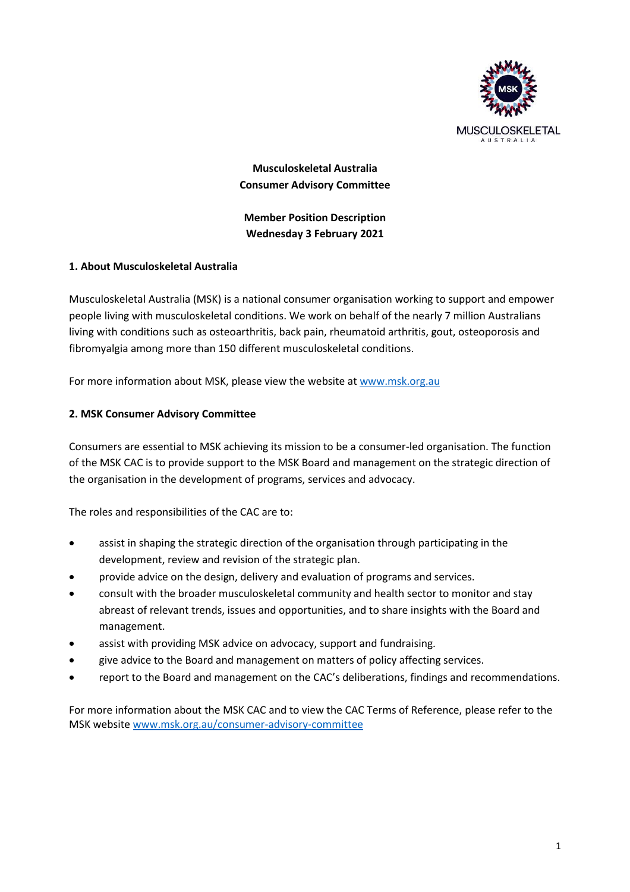

**Musculoskeletal Australia Consumer Advisory Committee**

**Member Position Description Wednesday 3 February 2021**

# **1. About Musculoskeletal Australia**

Musculoskeletal Australia (MSK) is a national consumer organisation working to support and empower people living with musculoskeletal conditions. We work on behalf of the nearly 7 million Australians living with conditions such as osteoarthritis, back pain, rheumatoid arthritis, gout, osteoporosis and fibromyalgia among more than 150 different musculoskeletal conditions.

For more information about MSK, please view the website at [www.msk.org.au](http://www.msk.org.au/)

# **2. MSK Consumer Advisory Committee**

Consumers are essential to MSK achieving its mission to be a consumer-led organisation. The function of the MSK CAC is to provide support to the MSK Board and management on the strategic direction of the organisation in the development of programs, services and advocacy.

The roles and responsibilities of the CAC are to:

- assist in shaping the strategic direction of the organisation through participating in the development, review and revision of the strategic plan.
- provide advice on the design, delivery and evaluation of programs and services.
- consult with the broader musculoskeletal community and health sector to monitor and stay abreast of relevant trends, issues and opportunities, and to share insights with the Board and management.
- assist with providing MSK advice on advocacy, support and fundraising.
- give advice to the Board and management on matters of policy affecting services.
- report to the Board and management on the CAC's deliberations, findings and recommendations.

For more information about the MSK CAC and to view the CAC Terms of Reference, please refer to the MSK website [www.msk.org.au/consumer-advisory-committee](http://www.msk.org.au/consumer-advisory-committee)